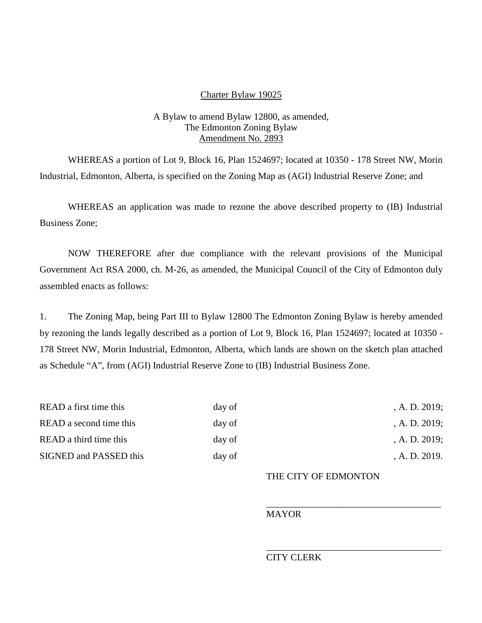### Charter Bylaw 19025

## A Bylaw to amend Bylaw 12800, as amended, The Edmonton Zoning Bylaw Amendment No. 2893

WHEREAS a portion of Lot 9, Block 16, Plan 1524697; located at 10350 - 178 Street NW, Morin Industrial, Edmonton, Alberta, is specified on the Zoning Map as (AGI) Industrial Reserve Zone; and

WHEREAS an application was made to rezone the above described property to (IB) Industrial Business Zone;

NOW THEREFORE after due compliance with the relevant provisions of the Municipal Government Act RSA 2000, ch. M-26, as amended, the Municipal Council of the City of Edmonton duly assembled enacts as follows:

1. The Zoning Map, being Part III to Bylaw 12800 The Edmonton Zoning Bylaw is hereby amended by rezoning the lands legally described as a portion of Lot 9, Block 16, Plan 1524697; located at 10350 - 178 Street NW, Morin Industrial, Edmonton, Alberta, which lands are shown on the sketch plan attached as Schedule "A", from (AGI) Industrial Reserve Zone to (IB) Industrial Business Zone.

| READ a first time this<br>READ a second time this | day of<br>day of | A. D. 2019;<br>A. D. 2019; |
|---------------------------------------------------|------------------|----------------------------|
|                                                   |                  |                            |
| SIGNED and PASSED this                            | day of           | A. D. 2019.                |

# THE CITY OF EDMONTON

\_\_\_\_\_\_\_\_\_\_\_\_\_\_\_\_\_\_\_\_\_\_\_\_\_\_\_\_\_\_\_\_\_\_\_\_\_

\_\_\_\_\_\_\_\_\_\_\_\_\_\_\_\_\_\_\_\_\_\_\_\_\_\_\_\_\_\_\_\_\_\_\_\_\_

#### MAYOR

#### CITY CLERK